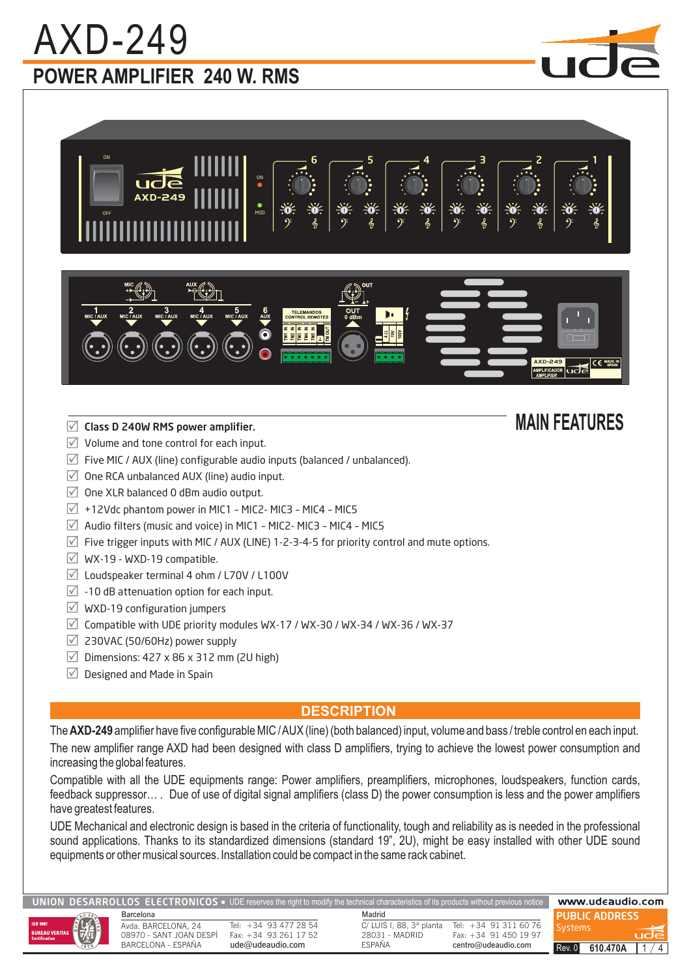# **POWER AMPLIFIER 240 W. RMS** AXD-249

AXD-249

OFF

ON



AXD-249 - ਇ

### **MAIN FEATURES**

- $\sqrt{ }$  Volume and tone control for each input.
- $\triangledown$  Five MIC / AUX (line) configurable audio inputs (balanced / unbalanced).

ON

MOD

- $\sqrt{2}$  One RCA unbalanced AUX (line) audio input.
- $\sqrt{ }$  One XLR balanced 0 dBm audio output.
- $\overline{V}$  +12Vdc phantom power in MIC1 MIC2- MIC3 MIC4 MIC5
- $\vee$  Audio filters (music and voice) in MIC1 MIC2- MIC3 MIC4 MIC5
- $\triangledown$  Five trigger inputs with MIC / AUX (LINE) 1-2-3-4-5 for priority control and mute options.
- $\sqrt{ }$  WX-19 WXD-19 compatible.
- $\sqrt{2}$  Loudspeaker terminal 4 ohm / L70V / L100V
- $\sqrt{2}$  -10 dB attenuation option for each input.
- $\vee$  WXD-19 configuration jumpers
- $\vee$  Compatible with UDE priority modules WX-17 / WX-30 / WX-34 / WX-36 / WX-37
- $\sqrt{2}$  230VAC (50/60Hz) power supply
- $\vee$  Dimensions: 427 x 86 x 312 mm (2U high)
- $\vee$  Designed and Made in Spain

#### **DESCRIPTION**

The **AXD-249** amplifier have five configurable MIC / AUX (line) (both balanced) input, volume and bass / treble control en each input. The new amplifier range AXD had been designed with class D amplifiers, trying to achieve the lowest power consumption and increasing the global features.

Compatible with all the UDE equipments range: Power amplifiers, preamplifiers, microphones, loudspeakers, function cards, feedback suppressor… . Due of use of digital signal amplifiers (class D) the power consumption is less and the power amplifiers have greatest features.

UDE Mechanical and electronic design is based in the criteria of functionality, tough and reliability as is needed in the professional sound applications. Thanks to its standardized dimensions (standard 19", 2U), might be easy installed with other UDE sound equipments or other musical sources. Installation could be compact in the same rack cabinet.

ROLLOS ELECTRONICOS  $\bullet$  UDE reserves the right to modify the technical characteristics of its products without prev



Barcelona Madrid Avda BARCELONA 24 08970 - SANT JOAN DESPÍ

Tel: +34 93 477 28 54 Fax: +34 93 261 17 52 ude@udeaudio.com

C/ LUIS I, 88, 3ª planta 28031 - MADRID ESPAÑA

Tel: +34 91 311 60 76 Fax: +34 91 450 19 97 centro@udeaudio.com

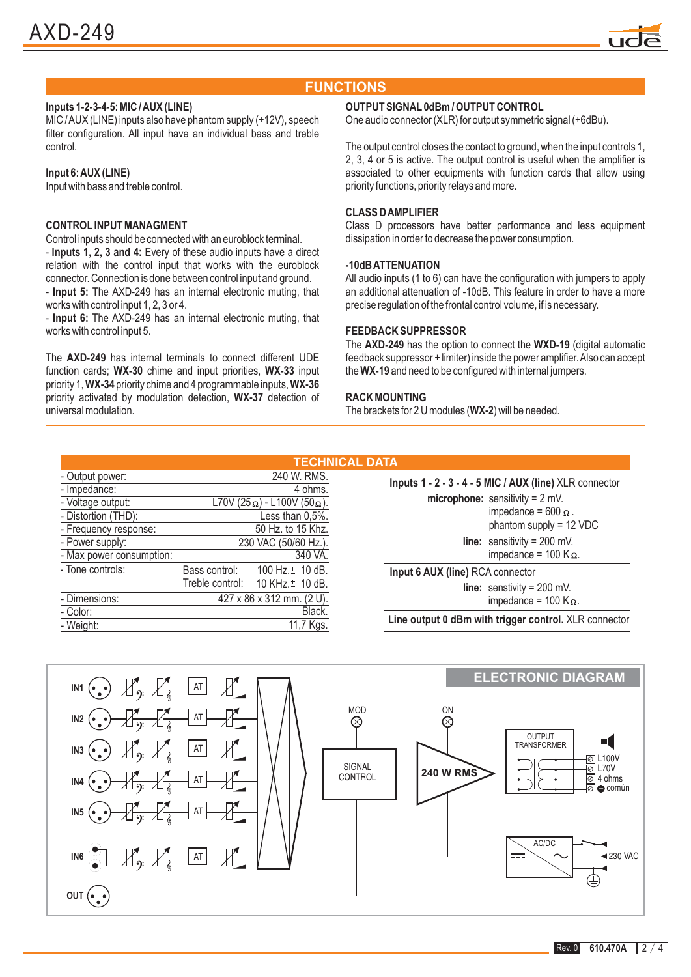

#### **FUNCTIONS**

#### **Inputs 1-2-3-4-5: MIC /AUX (LINE)**

MIC /AUX (LINE) inputs also have phantom supply (+12V), speech filter configuration. All input have an individual bass and treble control.

#### **Input 6:AUX (LINE)**

Input with bass and treble control.

#### **CONTROL INPUT MANAGMENT**

**Inputs 1, 2, 3 and 4:** - Every of these audio inputs have a direct Control inputs should be connected with an euroblock terminal. relation with the control input that works with the euroblock connector. Connection is done between control input and ground.

- Input 5: The AXD-249 has an internal electronic muting, that works with control input 1, 2, 3 or 4.

- Input 6: The AXD-249 has an internal electronic muting, that works with control input 5.

The **AXD-249** has internal terminals to connect different UDE function cards; WX-30 chime and input priorities, WX-33 input priority 1, **WX-34** priority chime and 4 programmable inputs, **WX-36** priority activated by modulation detection, WX-37 detection of universal modulation.

#### **OUTPUT SIGNAL 0dBm / OUTPUT CONTROL**

One audio connector (XLR) for output symmetric signal (+6dBu).

The output control closes the contact to ground, when the input controls 1, 2, 3, 4 or 5 is active. The output control is useful when the amplifier is associated to other equipments with function cards that allow using priority functions, priority relays and more.

#### **CLASS DAMPLIFIER**

Class D processors have better performance and less equipment dissipation in order to decrease the power consumption.

#### **-10dBATTENUATION**

All audio inputs (1 to 6) can have the configuration with jumpers to apply an additional attenuation of -10dB. This feature in order to have a more precise regulation of the frontal control volume, if is necessary.

#### **FEEDBACK SUPPRESSOR**

The **AXD-249** has the option to connect the WXD-19 (digital automatic the WX-19 and need to be configured with internal jumpers. feedback suppressor + limiter) inside the power amplifier.Also can accept

#### **RACK MOUNTING**

The brackets for 2 U modules (WX-2) will be needed.

|                          |                           |                                             | <b>TECHNICAL DATA</b>                                                   |  |
|--------------------------|---------------------------|---------------------------------------------|-------------------------------------------------------------------------|--|
| - Output power:          |                           | 240 W. RMS.                                 | Inputs 1 - 2 - 3 - 4 - 5 MIC / AUX (line) XLR connector                 |  |
| - Impedance:             | 4 ohms.                   |                                             |                                                                         |  |
| - Voltage output:        |                           | L70V (25 $\Omega$ ) - L100V (50 $\Omega$ ). | microphone: sensitivity = $2$ mV.<br>impedance = 600 $\Omega$ .         |  |
| - Distortion (THD):      |                           | Less than 0,5%.                             |                                                                         |  |
| - Frequency response:    | 50 Hz. to 15 Khz.         |                                             | phantom supply = 12 VDC                                                 |  |
| - Power supply:          | 230 VAC (50/60 Hz.).      |                                             | <b>line:</b> sensitivity = $200$ mV.                                    |  |
| - Max power consumption: | 340 VA.                   |                                             | impedance = 100 K $\Omega$ .                                            |  |
| - Tone controls:         | Bass control:             | 100 Hz. $\pm$ 10 dB.                        | Input 6 AUX (line) RCA connector<br><b>line:</b> senstivity = $200$ mV. |  |
|                          |                           | Treble control: 10 KHz. <sup>+</sup> 10 dB. |                                                                         |  |
| - Dimensions:            | 427 x 86 x 312 mm. (2 U). |                                             | impedance = 100 K $\Omega$ .                                            |  |
| - Color:                 | Black.                    |                                             |                                                                         |  |
| - Weight:                | 11,7 Kgs.                 |                                             | Line output 0 dBm with trigger control. XLR connector                   |  |

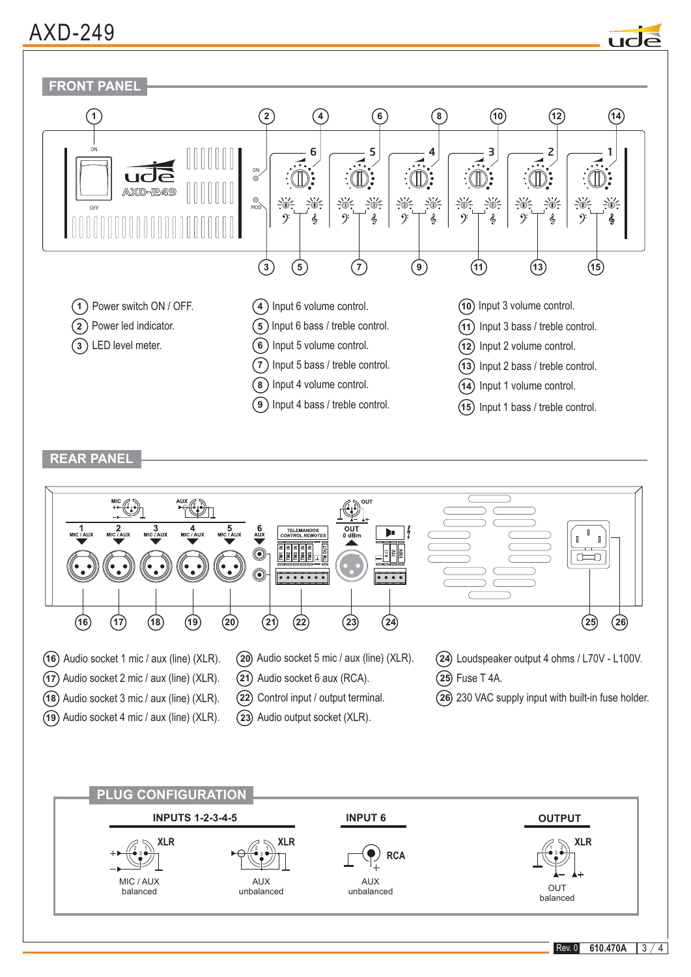### AXD-249



**REAR PANEL**



Rev. 0 **610.470A**  $3/4$